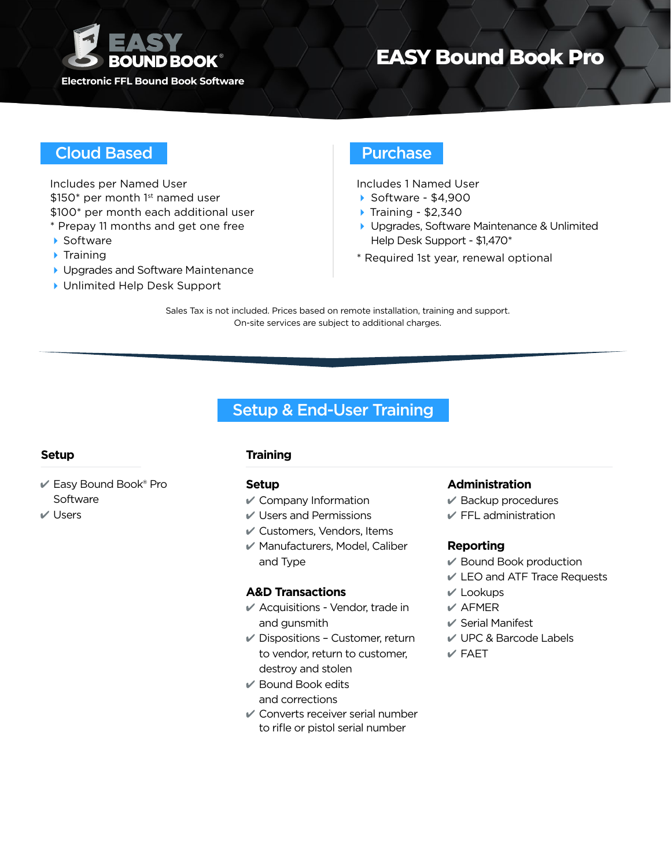

# **EASY Bound Book Pro**

## Cloud Based **Purchase**

Includes per Named User \$150\* per month 1st named user \$100\* per month each additional user \* Prepay 11 months and get one free

- ▶ Software
- $\blacktriangleright$  Training
- ▶ Upgrades and Software Maintenance
- ▶ Unlimited Help Desk Support

Includes 1 Named User

- 4 Software \$4,900
- $\triangleright$  Training \$2,340
- ▶ Upgrades, Software Maintenance & Unlimited Help Desk Support - \$1,470\*
- \* Required 1st year, renewal optional

Sales Tax is not included. Prices based on remote installation, training and support. On-site services are subject to additional charges.

## Setup & End-User Training

- 4 Easy Bound Book® Pro **Software**
- $V$  Users

## **Setup Training**

### **Setup**

- $\mathscr V$  Company Information
- $\vee$  Users and Permissions
- $\mathscr V$  Customers, Vendors, Items
- 4 Manufacturers, Model, Caliber and Type

## **A&D Transactions**

- $\mathscr V$  Acquisitions Vendor, trade in and gunsmith
- $\vee$  Dispositions Customer, return to vendor, return to customer, destroy and stolen
- $\vee$  Bound Book edits and corrections
- $\mathcal V$  Converts receiver serial number to rifle or pistol serial number

### **Administration**

- $\vee$  Backup procedures
- $\mathcal V$  FFL administration

### **Reporting**

- 4 Bound Book production
- 4 LEO and ATF Trace Requests
- $V$  Lookups
- $V$  AFMER
- $\vee$  Serial Manifest
- 4 UPC & Barcode Labels
- $V$ FAFT